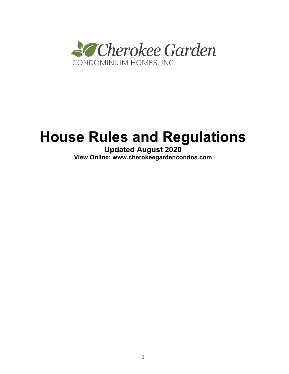

# **House Rules and Regulations**

**Updated August 2020 View Online: www.cherokeegardencondos.com**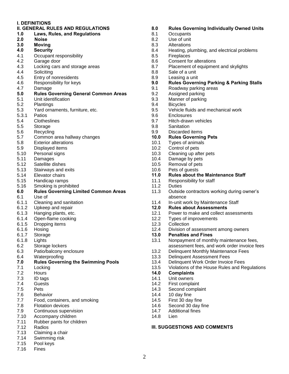#### **I. DEFINITIONS**

- **II. GENERAL RULES AND REGULATIONS**
- **1.0 Laws, Rules, and Regulations**
- **2.0 Noise**
- **3.0 Moving 4.0 Security**
- 
- 4.1 Occupant responsibility
- 4.2 Garage door
- 4.3 Locking cars and storage areas
- 4.4 Soliciting
- 4.5 Entry of nonresidents
- 4.6 Responsibility for keys
- 4.7 Damage

#### **5.0 Rules Governing General Common Areas**

- 5.1 Unit identification
- 5.2 Plantings
- 5.3 Yard ornaments, furniture, etc.
- 5.3.1 Patios
- 5.4 Clotheslines
- 5.5 Storage
- 5.6 Recycling
- 5.7 Common area hallway changes
- 5.8 Exterior alterations
- 5.9 Displayed items
- 5.10 Personal signs
- 5.11 Damages
- 5.12 Satellite dishes
- 5.13 Stairways and exits
- 5.14 Elevator chairs
- 5.15 Handicap ramps
- 5.16 Smoking is prohibited
- **6.0 Rules Governing Limited Common Areas**
- 6.1 Use of
- 6.1.1 Cleaning and sanitation
- 6.1.2 Upkeep and repair
- 6.1.3 Hanging plants, etc.
- 6.1.4 Open-flame cooking
- 6.1.5 Dropping items
- 6.1.6 Hosing
- 6.1.7 Storage
- 6.1.8 Lights
- 6.2 Storage lockers
- 6.3 Patio/balcony enclosure
- 6.4 Waterproofing

# **7.0 Rules Governing the Swimming Pools**

- 7.1 Locking
- 7.2 Hours
- 7.3 ID tags
- 7.4 Guests
- 7.5 Pets
- 7.6 Behavior
- 7.7 Food, containers, and smoking
- 7.8 Flotation devices
- 7.9 Continuous supervision
- 7.10 Accompany children
- 7.11 Rubber pants for children
- 7.12 Radios
- 7.13 Claiming a chair
- 7.14 Swimming risk
- 7.15 Pool keys
- 7.16 Fines

## **8.0 Rules Governing Individually Owned Units**

- 8.1 Occupants<br>8.2 Use of unit
- Use of unit
- 8.3 Alterations
- 8.4 Heating, plumbing, and electrical problems
- 8.5 Fireplaces
- 8.6 Consent for alterations
- 8.7 Placement of equipment and skylights
- 8.8 Sale of a unit
- 8.9 Leasing a unit
- **9.0 Rules Governing Parking & Parking Stalls**
- 9.1 Roadway parking areas
- 9.2 Assigned parking
- 9.3 Manner of parking
- 9.4 Bicycles
- 9.5 Vehicle fluids and mechanical work
- 9.6 Enclosures
- 9.7 Hitch-drawn vehicles
- 9.8 Sanitation
- 9.9 Discarded items
- **10.0 Rules Governing Pets**
- 10.1 Types of animals
- 10.2 Control of pets
- 10.3 Cleaning up after pets
- 10.4 Damage by pets
- 10.5 Removal of pets
- 10.6 Pets of guests
- **11.0 Rules about the Maintenance Staff**
- 11.1 Responsibility for staff
- 11.2 Duties
- 11.3 Outside contractors working during owner's absence
- 11.4 In-unit work by Maintenance Staff<br>12.0 Rules about Assessments
- **12.0 Rules about Assessments**
- 12.1 Power to make and collect assessments
- 12.2 Types of improvements<br>12.3 Collection

13.3 Delinquent Assessment Fees

**III. SUGGESTIONS AND COMMENTS**

13.4 Delinquent Work Order Invoice Fees

**Collection** 

**14.0 Complaints** 14.1 Unit owners 14.2 First complaint 14.3 Second complaint 14.4 10 day fine 14.5 First 30 day fine 14.6 Second 30 day fine 14.7 Additional fines

14.8 Lien

2

- 12.4 Division of assessment among owners
- **13.0 Penalties and Fines**
- 13.1 Nonpayment of monthly maintenance fees, assessment fees, and work order invoice fees 13.2 Delinquent Monthly Maintenance Fees

13.5 Violations of the House Rules and Regulations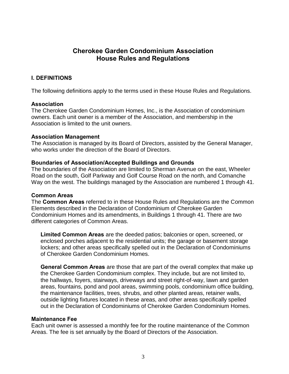# **Cherokee Garden Condominium Association House Rules and Regulations**

## **I. DEFINITIONS**

The following definitions apply to the terms used in these House Rules and Regulations.

## **Association**

The Cherokee Garden Condominium Homes, Inc., is the Association of condominium owners. Each unit owner is a member of the Association, and membership in the Association is limited to the unit owners.

#### **Association Management**

The Association is managed by its Board of Directors, assisted by the General Manager, who works under the direction of the Board of Directors.

## **Boundaries of Association/Accepted Buildings and Grounds**

The boundaries of the Association are limited to Sherman Avenue on the east, Wheeler Road on the south, Golf Parkway and Golf Course Road on the north, and Comanche Way on the west. The buildings managed by the Association are numbered 1 through 41.

#### **Common Areas**

The **Common Areas** referred to in these House Rules and Regulations are the Common Elements described in the Declaration of Condominium of Cherokee Garden Condominium Homes and its amendments, in Buildings 1 through 41. There are two different categories of Common Areas.

**Limited Common Areas** are the deeded patios; balconies or open, screened, or enclosed porches adjacent to the residential units; the garage or basement storage lockers; and other areas specifically spelled out in the Declaration of Condominiums of Cherokee Garden Condominium Homes.

**General Common Areas** are those that are part of the overall complex that make up the Cherokee Garden Condominium complex. They include, but are not limited to, the hallways, foyers, stairways, driveways and street right-of-way, lawn and garden areas, fountains, pond and pool areas, swimming pools, condominium office building, the maintenance facilities, trees, shrubs, and other planted areas, retainer walls, outside lighting fixtures located in these areas, and other areas specifically spelled out in the Declaration of Condominiums of Cherokee Garden Condominium Homes.

## **Maintenance Fee**

Each unit owner is assessed a monthly fee for the routine maintenance of the Common Areas. The fee is set annually by the Board of Directors of the Association.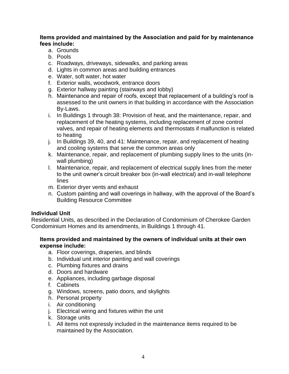## **Items provided and maintained by the Association and paid for by maintenance fees include:**

- a. Grounds
- b. Pools
- c. Roadways, driveways, sidewalks, and parking areas
- d. Lights in common areas and building entrances
- e. Water, soft water, hot water
- f. Exterior walls, woodwork, entrance doors
- g. Exterior hallway painting (stairways and lobby)
- h. Maintenance and repair of roofs, except that replacement of a building's roof is assessed to the unit owners in that building in accordance with the Association By-Laws.
- i. In Buildings 1 through 38: Provision of heat, and the maintenance, repair, and replacement of the heating systems, including replacement of zone control valves, and repair of heating elements and thermostats if malfunction is related to heating
- j. In Buildings 39, 40, and 41: Maintenance, repair, and replacement of heating and cooling systems that serve the common areas only
- k. Maintenance, repair, and replacement of plumbing supply lines to the units (inwall plumbing)
- l. Maintenance, repair, and replacement of electrical supply lines from the meter to the unit owner's circuit breaker box (in-wall electrical) and in-wall telephone lines
- m. Exterior dryer vents and exhaust
- n. Custom painting and wall coverings in hallway, with the approval of the Board's Building Resource Committee

## **Individual Unit**

Residential Units, as described in the Declaration of Condominium of Cherokee Garden Condominium Homes and its amendments, in Buildings 1 through 41.

## **Items provided and maintained by the owners of individual units at their own expense include:**

- a. Floor coverings, draperies, and blinds
- b. Individual unit interior painting and wall coverings
- c. Plumbing fixtures and drains
- d. Doors and hardware
- e. Appliances, including garbage disposal
- f. Cabinets
- g. Windows, screens, patio doors, and skylights
- h. Personal property
- i. Air conditioning
- j. Electrical wiring and fixtures within the unit
- k. Storage units
- l. All items not expressly included in the maintenance items required to be maintained by the Association.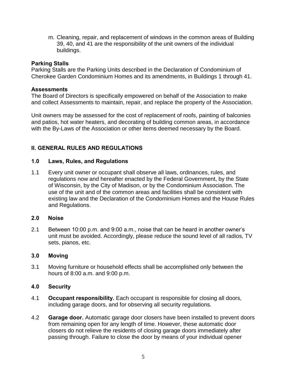m. Cleaning, repair, and replacement of windows in the common areas of Building 39, 40, and 41 are the responsibility of the unit owners of the individual buildings.

## **Parking Stalls**

Parking Stalls are the Parking Units described in the Declaration of Condominium of Cherokee Garden Condominium Homes and its amendments, in Buildings 1 through 41.

## **Assessments**

The Board of Directors is specifically empowered on behalf of the Association to make and collect Assessments to maintain, repair, and replace the property of the Association.

Unit owners may be assessed for the cost of replacement of roofs, painting of balconies and patios, hot water heaters, and decorating of building common areas, in accordance with the By-Laws of the Association or other items deemed necessary by the Board.

# **II. GENERAL RULES AND REGULATIONS**

# **1.0 Laws, Rules, and Regulations**

1.1 Every unit owner or occupant shall observe all laws, ordinances, rules, and regulations now and hereafter enacted by the Federal Government, by the State of Wisconsin, by the City of Madison, or by the Condominium Association. The use of the unit and of the common areas and facilities shall be consistent with existing law and the Declaration of the Condominium Homes and the House Rules and Regulations.

# **2.0 Noise**

2.1 Between 10:00 p.m. and 9:00 a.m., noise that can be heard in another owner's unit must be avoided. Accordingly, please reduce the sound level of all radios, TV sets, pianos, etc.

# **3.0 Moving**

3.1 Moving furniture or household effects shall be accomplished only between the hours of 8:00 a.m. and 9:00 p.m.

# **4.0 Security**

- 4.1 **Occupant responsibility.** Each occupant is responsible for closing all doors, including garage doors, and for observing all security regulations.
- 4.2 **Garage door.** Automatic garage door closers have been installed to prevent doors from remaining open for any length of time. However, these automatic door closers do not relieve the residents of closing garage doors immediately after passing through. Failure to close the door by means of your individual opener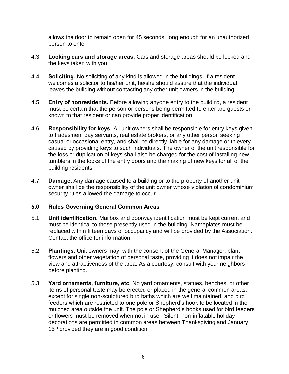allows the door to remain open for 45 seconds, long enough for an unauthorized person to enter.

- 4.3 **Locking cars and storage areas.** Cars and storage areas should be locked and the keys taken with you.
- 4.4 **Soliciting.** No soliciting of any kind is allowed in the buildings. If a resident welcomes a solicitor to his/her unit, he/she should assure that the individual leaves the building without contacting any other unit owners in the building.
- 4.5 **Entry of nonresidents.** Before allowing anyone entry to the building, a resident must be certain that the person or persons being permitted to enter are guests or known to that resident or can provide proper identification.
- 4.6 **Responsibility for keys.** All unit owners shall be responsible for entry keys given to tradesmen, day servants, real estate brokers, or any other person seeking casual or occasional entry, and shall be directly liable for any damage or thievery caused by providing keys to such individuals. The owner of the unit responsible for the loss or duplication of keys shall also be charged for the cost of installing new tumblers in the locks of the entry doors and the making of new keys for all of the building residents.
- 4.7 **Damage.** Any damage caused to a building or to the property of another unit owner shall be the responsibility of the unit owner whose violation of condominium security rules allowed the damage to occur.

# **5.0 Rules Governing General Common Areas**

- 5.1 **Unit identification.** Mailbox and doorway identification must be kept current and must be identical to those presently used in the building. Nameplates must be replaced within fifteen days of occupancy and will be provided by the Association. Contact the office for information.
- 5.2 **Plantings.** Unit owners may, with the consent of the General Manager, plant flowers and other vegetation of personal taste, providing it does not impair the view and attractiveness of the area. As a courtesy, consult with your neighbors before planting.
- 5.3 **Yard ornaments, furniture, etc.** No yard ornaments, statues, benches, or other items of personal taste may be erected or placed in the general common areas, except for single non-sculptured bird baths which are well maintained, and bird feeders which are restricted to one pole or Shepherd's hook to be located in the mulched area outside the unit. The pole or Shepherd's hooks used for bird feeders or flowers must be removed when not in use. Silent, non-inflatable holiday decorations are permitted in common areas between Thanksgiving and January 15<sup>th</sup> provided they are in good condition.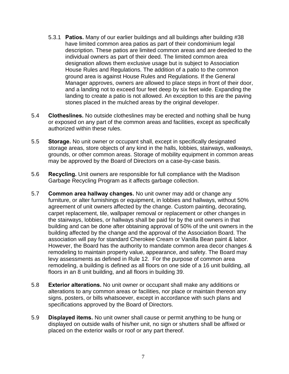- 5.3.1 **Patios.** Many of our earlier buildings and all buildings after building #38 have limited common area patios as part of their condominium legal description. These patios are limited common areas and are deeded to the individual owners as part of their deed. The limited common area designation allows them exclusive usage but is subject to Association House Rules and Regulations. The addition of a patio to the common ground area is against House Rules and Regulations. If the General Manager approves, owners are allowed to place steps in front of their door, and a landing not to exceed four feet deep by six feet wide. Expanding the landing to create a patio is not allowed. An exception to this are the paving stones placed in the mulched areas by the original developer.
- 5.4 **Clotheslines.** No outside clotheslines may be erected and nothing shall be hung or exposed on any part of the common areas and facilities, except as specifically authorized within these rules.
- 5.5 **Storage.** No unit owner or occupant shall, except in specifically designated storage areas, store objects of any kind in the halls, lobbies, stairways, walkways, grounds, or other common areas. Storage of mobility equipment in common areas may be approved by the Board of Directors on a case-by-case basis.
- 5.6 **Recycling.** Unit owners are responsible for full compliance with the Madison Garbage Recycling Program as it affects garbage collection.
- 5.7 **Common area hallway changes.** No unit owner may add or change any furniture, or alter furnishings or equipment, in lobbies and hallways, without 50% agreement of unit owners affected by the change. Custom painting, decorating, carpet replacement, tile, wallpaper removal or replacement or other changes in the stairways, lobbies, or hallways shall be paid for by the unit owners in that building and can be done after obtaining approval of 50% of the unit owners in the building affected by the change and the approval of the Association Board. The association will pay for standard Cherokee Cream or Vanilla Bean paint & labor. However, the Board has the authority to mandate common area decor changes & remodeling to maintain property value, appearance, and safety. The Board may levy assessments as defined in Rule 12. For the purpose of common area remodeling, a building is defined as all floors on one side of a 16 unit building, all floors in an 8 unit building, and all floors in building 39.
- 5.8 **Exterior alterations.** No unit owner or occupant shall make any additions or alterations to any common areas or facilities, nor place or maintain thereon any signs, posters, or bills whatsoever, except in accordance with such plans and specifications approved by the Board of Directors.
- 5.9 **Displayed items.** No unit owner shall cause or permit anything to be hung or displayed on outside walls of his/her unit, no sign or shutters shall be affixed or placed on the exterior walls or roof or any part thereof.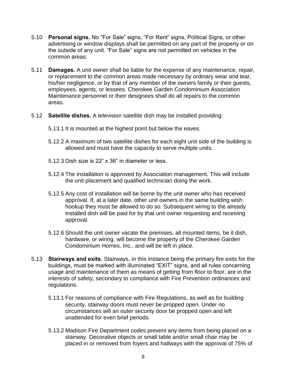- 5.10 **Personal signs.** No "For Sale" signs, "For Rent" signs, Political Signs, or other advertising or window displays shall be permitted on any part of the property or on the outside of any unit. "For Sale" signs are not permitted on vehicles in the common areas.
- 5.11 **Damages.** A unit owner shall be liable for the expense of any maintenance, repair, or replacement to the common areas made necessary by ordinary wear and tear, his/her negligence, or by that of any member of the owners family or their guests, employees, agents, or lessees. Cherokee Garden Condominium Association Maintenance personnel or their designees shall do all repairs to the common areas.
- 5.12 **Satellite dishes.** A television satellite dish may be installed providing:
	- 5.13.1 It is mounted at the highest point but below the eaves.
	- 5.12.2 A maximum of two satellite dishes for each eight unit side of the building is allowed and must have the capacity to serve multiple units.
	- 5.12.3 Dish size is 22" x 36" in diameter or less.
	- 5.12.4 The installation is approved by Association management. This will include the unit placement and qualified technician doing the work.
	- 5.12.5 Any cost of installation will be borne by the unit owner who has received approval. If, at a later date, other unit owners in the same building wish hookup they must be allowed to do so. Subsequent wiring to the already installed dish will be paid for by that unit owner requesting and receiving approval.
	- 5.12.6 Should the unit owner vacate the premises, all mounted items, be it dish, hardware, or wiring, will become the property of the Cherokee Garden Condominium Homes, Inc., and will be left in place.
- 5.13 **Stairways and exits.** Stairways, in this instance being the primary fire exits for the buildings, must be marked with illuminated "EXIT" signs, and all rules concerning usage and maintenance of them as means of getting from floor to floor, are in the interests of safety, secondary to compliance with Fire Prevention ordinances and regulations.
	- 5.13.1 For reasons of compliance with Fire Regulations, as well as for building security, stairway doors must never be propped open. Under no circumstances will an outer security door be propped open and left unattended for even brief periods.
	- 5.13.2 Madison Fire Department codes prevent any items from being placed on a stairway. Decorative objects or small table and/or small chair may be placed in or removed from foyers and hallways with the approval of 75% of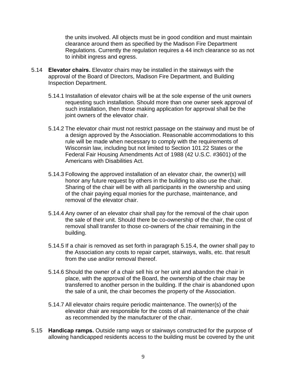the units involved. All objects must be in good condition and must maintain clearance around them as specified by the Madison Fire Department Regulations. Currently the regulation requires a 44 inch clearance so as not to inhibit ingress and egress.

- 5.14 **Elevator chairs.** Elevator chairs may be installed in the stairways with the approval of the Board of Directors, Madison Fire Department, and Building Inspection Department.
	- 5.14.1 Installation of elevator chairs will be at the sole expense of the unit owners requesting such installation. Should more than one owner seek approval of such installation, then those making application for approval shall be the joint owners of the elevator chair.
	- 5.14.2 The elevator chair must not restrict passage on the stairway and must be of a design approved by the Association. Reasonable accommodations to this rule will be made when necessary to comply with the requirements of Wisconsin law, including but not limited to Section 101.22 States or the Federal Fair Housing Amendments Act of 1988 (42 U.S.C. #3601) of the Americans with Disabilities Act.
	- 5.14.3 Following the approved installation of an elevator chair, the owner(s) will honor any future request by others in the building to also use the chair. Sharing of the chair will be with all participants in the ownership and using of the chair paying equal monies for the purchase, maintenance, and removal of the elevator chair.
	- 5.14.4 Any owner of an elevator chair shall pay for the removal of the chair upon the sale of their unit. Should there be co-ownership of the chair, the cost of removal shall transfer to those co-owners of the chair remaining in the building.
	- 5.14.5 If a chair is removed as set forth in paragraph 5.15.4, the owner shall pay to the Association any costs to repair carpet, stairways, walls, etc. that result from the use and/or removal thereof.
	- 5.14.6 Should the owner of a chair sell his or her unit and abandon the chair in place, with the approval of the Board, the ownership of the chair may be transferred to another person in the building. If the chair is abandoned upon the sale of a unit, the chair becomes the property of the Association.
	- 5.14.7 All elevator chairs require periodic maintenance. The owner(s) of the elevator chair are responsible for the costs of all maintenance of the chair as recommended by the manufacturer of the chair.
- 5.15 **Handicap ramps.** Outside ramp ways or stairways constructed for the purpose of allowing handicapped residents access to the building must be covered by the unit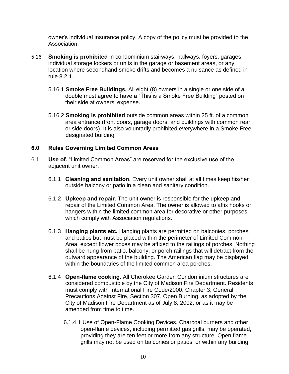owner's individual insurance policy. A copy of the policy must be provided to the Association.

- 5.16 **Smoking is prohibited** in condominium stairways, hallways, foyers, garages, individual storage lockers or units in the garage or basement areas, or any location where secondhand smoke drifts and becomes a nuisance as defined in rule 8.2.1.
	- 5.16.1 **Smoke Free Buildings.** All eight (8) owners in a single or one side of a double must agree to have a "This is a Smoke Free Building" posted on their side at owners' expense.
	- 5.16.2 **Smoking is prohibited** outside common areas within 25 ft. of a common area entrance (front doors, garage doors, and buildings with common rear or side doors). It is also voluntarily prohibited everywhere in a Smoke Free designated building.

## **6.0 Rules Governing Limited Common Areas**

- 6.1 **Use of.** "Limited Common Areas" are reserved for the exclusive use of the adjacent unit owner.
	- 6.1.1 **Cleaning and sanitation.** Every unit owner shall at all times keep his/her outside balcony or patio in a clean and sanitary condition.
	- 6.1.2 **Upkeep and repair.** The unit owner is responsible for the upkeep and repair of the Limited Common Area. The owner is allowed to affix hooks or hangers within the limited common area for decorative or other purposes which comply with Association regulations.
	- 6.1.3 **Hanging plants etc.** Hanging plants are permitted on balconies, porches, and patios but must be placed within the perimeter of Limited Common Area, except flower boxes may be affixed to the railings of porches. Nothing shall be hung from patio, balcony, or porch railings that will detract from the outward appearance of the building. The American flag may be displayed within the boundaries of the limited common area porches.
	- 6.1.4 **Open-flame cooking.** All Cherokee Garden Condominium structures are considered combustible by the City of Madison Fire Department. Residents must comply with International Fire Code/2000, Chapter 3, General Precautions Against Fire, Section 307, Open Burning, as adopted by the City of Madison Fire Department as of July 8, 2002, or as it may be amended from time to time.
		- 6.1.4.1 Use of Open-Flame Cooking Devices. Charcoal burners and other open-flame devices, including permitted gas grills, may be operated, providing they are ten feet or more from any structure. Open flame grills may not be used on balconies or patios, or within any building.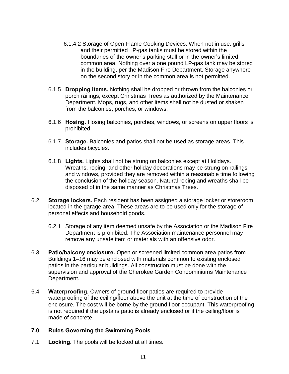- 6.1.4.2 Storage of Open-Flame Cooking Devices. When not in use, grills and their permitted LP-gas tanks must be stored within the boundaries of the owner's parking stall or in the owner's limited common area. Nothing over a one pound LP-gas tank may be stored in the building, per the Madison Fire Department. Storage anywhere on the second story or in the common area is not permitted.
- 6.1.5 **Dropping items.** Nothing shall be dropped or thrown from the balconies or porch railings, except Christmas Trees as authorized by the Maintenance Department. Mops, rugs, and other items shall not be dusted or shaken from the balconies, porches, or windows.
- 6.1.6 **Hosing.** Hosing balconies, porches, windows, or screens on upper floors is prohibited.
- 6.1.7 **Storage.** Balconies and patios shall not be used as storage areas. This includes bicycles.
- 6.1.8 **Lights.** Lights shall not be strung on balconies except at Holidays. Wreaths, roping, and other holiday decorations may be strung on railings and windows, provided they are removed within a reasonable time following the conclusion of the holiday season. Natural roping and wreaths shall be disposed of in the same manner as Christmas Trees.
- 6.2 **Storage lockers.** Each resident has been assigned a storage locker or storeroom located in the garage area. These areas are to be used only for the storage of personal effects and household goods.
	- 6.2.1 Storage of any item deemed unsafe by the Association or the Madison Fire Department is prohibited. The Association maintenance personnel may remove any unsafe item or materials with an offensive odor.
- 6.3 **Patio/balcony enclosure.** Open or screened limited common area patios from Buildings 1–16 may be enclosed with materials common to existing enclosed patios in the particular buildings. All construction must be done with the supervision and approval of the Cherokee Garden Condominiums Maintenance Department.
- 6.4 **Waterproofing.** Owners of ground floor patios are required to provide waterproofing of the ceiling/floor above the unit at the time of construction of the enclosure. The cost will be borne by the ground floor occupant. This waterproofing is not required if the upstairs patio is already enclosed or if the ceiling/floor is made of concrete.

## **7.0 Rules Governing the Swimming Pools**

7.1 **Locking.** The pools will be locked at all times.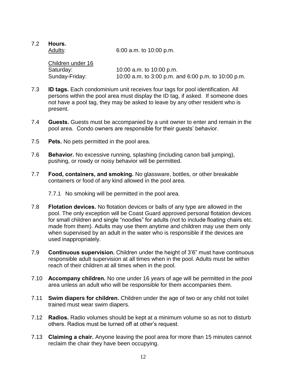7.2 **Hours.**

Adults: 6:00 a.m. to 10:00 p.m.

Children under 16 Saturday: 10:00 a.m. to 10:00 p.m. Sunday-Friday: 10:00 a.m. to 3:00 p.m. and 6:00 p.m. to 10:00 p.m.

- 7.3 **ID tags.** Each condominium unit receives four tags for pool identification. All persons within the pool area must display the ID tag, if asked. If someone does not have a pool tag, they may be asked to leave by any other resident who is present.
- 7.4 **Guests.** Guests must be accompanied by a unit owner to enter and remain in the pool area. Condo owners are responsible for their guests' behavior.
- 7.5 **Pets.** No pets permitted in the pool area.
- 7.6 **Behavior.** No excessive running, splashing (including canon ball jumping), pushing, or rowdy or noisy behavior will be permitted.
- 7.7 **Food, containers, and smoking.** No glassware, bottles, or other breakable containers or food of any kind allowed in the pool area.

#### 7.7.1 No smoking will be permitted in the pool area.

- 7.8 **Flotation devices.** No flotation devices or balls of any type are allowed in the pool. The only exception will be Coast Guard approved personal flotation devices for small children and single "noodles" for adults (not to include floating chairs etc. made from them). Adults may use them anytime and children may use them only when supervised by an adult in the water who is responsible if the devices are used inappropriately.
- 7.9 **Continuous supervision.** Children under the height of 3'6" must have continuous responsible adult supervision at all times when in the pool. Adults must be within reach of their children at all times when in the pool.
- 7.10 **Accompany children.** No one under 16 years of age will be permitted in the pool area unless an adult who will be responsible for them accompanies them.
- 7.11 **Swim diapers for children.** Children under the age of two or any child not toilet trained must wear swim diapers.
- 7.12 **Radios.** Radio volumes should be kept at a minimum volume so as not to disturb others. Radios must be turned off at other's request.
- 7.13 **Claiming a chair.** Anyone leaving the pool area for more than 15 minutes cannot reclaim the chair they have been occupying.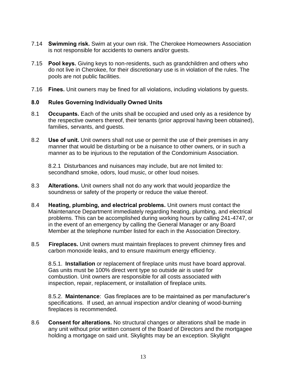- 7.14 **Swimming risk.** Swim at your own risk. The Cherokee Homeowners Association is not responsible for accidents to owners and/or guests.
- 7.15 **Pool keys.** Giving keys to non-residents, such as grandchildren and others who do not live in Cherokee, for their discretionary use is in violation of the rules. The pools are not public facilities.
- 7.16 **Fines.** Unit owners may be fined for all violations, including violations by guests.

## **8.0 Rules Governing Individually Owned Units**

- 8.1 **Occupants.** Each of the units shall be occupied and used only as a residence by the respective owners thereof, their tenants (prior approval having been obtained), families, servants, and guests.
- 8.2 **Use of unit.** Unit owners shall not use or permit the use of their premises in any manner that would be disturbing or be a nuisance to other owners, or in such a manner as to be injurious to the reputation of the Condominium Association.

8.2.1 Disturbances and nuisances may include, but are not limited to: secondhand smoke, odors, loud music, or other loud noises.

- 8.3 **Alterations.** Unit owners shall not do any work that would jeopardize the soundness or safety of the property or reduce the value thereof.
- 8.4 **Heating, plumbing, and electrical problems.** Unit owners must contact the Maintenance Department immediately regarding heating, plumbing, and electrical problems. This can be accomplished during working hours by calling 241-4747, or in the event of an emergency by calling the General Manager or any Board Member at the telephone number listed for each in the Association Directory.
- 8.5 **Fireplaces.** Unit owners must maintain fireplaces to prevent chimney fires and carbon monoxide leaks, and to ensure maximum energy efficiency.

8.5.1. **Installation** or replacement of fireplace units must have board approval. Gas units must be 100% direct vent type so outside air is used for combustion. Unit owners are responsible for all costs associated with inspection, repair, replacement, or installation of fireplace units.

8.5.2. **Maintenance**: Gas fireplaces are to be maintained as per manufacturer's specifications. If used, an annual inspection and/or cleaning of wood-burning fireplaces is recommended.

8.6 **Consent for alterations.** No structural changes or alterations shall be made in any unit without prior written consent of the Board of Directors and the mortgagee holding a mortgage on said unit. Skylights may be an exception. Skylight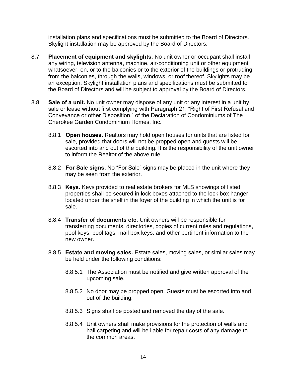installation plans and specifications must be submitted to the Board of Directors. Skylight installation may be approved by the Board of Directors.

- 8.7 **Placement of equipment and skylights.** No unit owner or occupant shall install any wiring, television antenna, machine, air-conditioning unit or other equipment whatsoever, on, or to the balconies or to the exterior of the buildings or protruding from the balconies, through the walls, windows, or roof thereof. Skylights may be an exception. Skylight installation plans and specifications must be submitted to the Board of Directors and will be subject to approval by the Board of Directors.
- 8.8 **Sale of a unit.** No unit owner may dispose of any unit or any interest in a unit by sale or lease without first complying with Paragraph 21, "Right of First Refusal and Conveyance or other Disposition," of the Declaration of Condominiums of The Cherokee Garden Condominium Homes, Inc.
	- 8.8.1 **Open houses.** Realtors may hold open houses for units that are listed for sale, provided that doors will not be propped open and guests will be escorted into and out of the building. It is the responsibility of the unit owner to inform the Realtor of the above rule.
	- 8.8.2 **For Sale signs.** No "For Sale" signs may be placed in the unit where they may be seen from the exterior.
	- 8.8.3 **Keys.** Keys provided to real estate brokers for MLS showings of listed properties shall be secured in lock boxes attached to the lock box hanger located under the shelf in the foyer of the building in which the unit is for sale.
	- 8.8.4 **Transfer of documents etc.** Unit owners will be responsible for transferring documents, directories, copies of current rules and regulations, pool keys, pool tags, mail box keys, and other pertinent information to the new owner.
	- 8.8.5 **Estate and moving sales.** Estate sales, moving sales, or similar sales may be held under the following conditions:
		- 8.8.5.1 The Association must be notified and give written approval of the upcoming sale.
		- 8.8.5.2 No door may be propped open. Guests must be escorted into and out of the building.
		- 8.8.5.3 Signs shall be posted and removed the day of the sale.
		- 8.8.5.4 Unit owners shall make provisions for the protection of walls and hall carpeting and will be liable for repair costs of any damage to the common areas.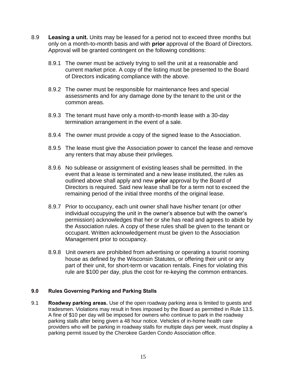- 8.9 **Leasing a unit.** Units may be leased for a period not to exceed three months but only on a month-to-month basis and with **prior** approval of the Board of Directors. Approval will be granted contingent on the following conditions:
	- 8.9.1 The owner must be actively trying to sell the unit at a reasonable and current market price. A copy of the listing must be presented to the Board of Directors indicating compliance with the above.
	- 8.9.2 The owner must be responsible for maintenance fees and special assessments and for any damage done by the tenant to the unit or the common areas.
	- 8.9.3 The tenant must have only a month-to-month lease with a 30-day termination arrangement in the event of a sale.
	- 8.9.4 The owner must provide a copy of the signed lease to the Association.
	- 8.9.5 The lease must give the Association power to cancel the lease and remove any renters that may abuse their privileges.
	- 8.9.6 No sublease or assignment of existing leases shall be permitted. In the event that a lease is terminated and a new lease instituted, the rules as outlined above shall apply and new **prior** approval by the Board of Directors is required. Said new lease shall be for a term not to exceed the remaining period of the initial three months of the original lease.
	- 8.9.7 Prior to occupancy, each unit owner shall have his/her tenant (or other individual occupying the unit in the owner's absence but with the owner's permission) acknowledges that her or she has read and agrees to abide by the Association rules. A copy of these rules shall be given to the tenant or occupant. Written acknowledgement must be given to the Association Management prior to occupancy.
	- 8.9.8 Unit owners are prohibited from advertising or operating a tourist rooming house as defined by the Wisconsin Statutes, or offering their unit or any part of their unit, for short-term or vacation rentals. Fines for violating this rule are \$100 per day, plus the cost for re-keying the common entrances.

## **9.0 Rules Governing Parking and Parking Stalls**

9.1 **Roadway parking areas.** Use of the open roadway parking area is limited to guests and tradesmen. Violations may result in fines imposed by the Board as permitted in Rule 13.5. A fine of \$10 per day will be imposed for owners who continue to park in the roadway parking stalls after being given a 48 hour notice. Vehicles of in-home health care providers who will be parking in roadway stalls for multiple days per week, must display a parking permit issued by the Cherokee Garden Condo Association office.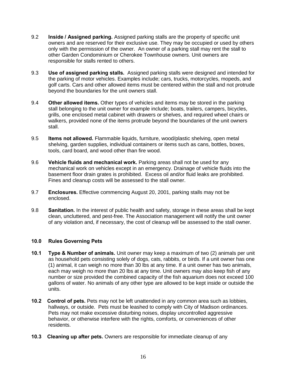- 9.2 **Inside / Assigned parking.** Assigned parking stalls are the property of specific unit owners and are reserved for their exclusive use. They may be occupied or used by others only with the permission of the owner. An owner of a parking stall may rent the stall to other Garden Condominium or Cherokee Townhouse owners. Unit owners are responsible for stalls rented to others.
- 9.3 **Use of assigned parking stalls.** Assigned parking stalls were designed and intended for the parking of motor vehicles. Examples include; cars, trucks, motorcycles, mopeds, and golf carts. Cars and other allowed items must be centered within the stall and not protrude beyond the boundaries for the unit owners stall.
- 9.4 **Other allowed items.** Other types of vehicles and items may be stored in the parking stall belonging to the unit owner for example include; boats, trailers, campers, bicycles, grills, one enclosed metal cabinet with drawers or shelves, and required wheel chairs or walkers, provided none of the items protrude beyond the boundaries of the unit owners stall.
- 9.5 **Items not allowed.** Flammable liquids, furniture, wood/plastic shelving, open metal shelving, garden supplies, individual containers or items such as cans, bottles, boxes, tools, card board, and wood other than fire wood.
- 9.6 **Vehicle fluids and mechanical work.** Parking areas shall not be used for any mechanical work on vehicles except in an emergency. Drainage of vehicle fluids into the basement floor drain grates is prohibited. Excess oil and/or fluid leaks are prohibited. Fines and cleanup costs will be assessed to the stall owner.
- 9.7 **Enclosures.** Effective commencing August 20, 2001, parking stalls may not be enclosed.
- 9.8 **Sanitation.** In the interest of public health and safety, storage in these areas shall be kept clean, uncluttered, and pest-free. The Association management will notify the unit owner of any violation and, if necessary, the cost of cleanup will be assessed to the stall owner.

#### **10.0 Rules Governing Pets**

- **10.1 Type & Number of animals.** Unit owner may keep a maximum of two (2) animals per unit as household pets consisting solely of dogs, cats, rabbits, or birds. If a unit owner has one (1) animal, it can weigh no more than 30 lbs at any time. If a unit owner has two animals, each may weigh no more than 20 lbs at any time. Unit owners may also keep fish of any number or size provided the combined capacity of the fish aquarium does not exceed 100 gallons of water. No animals of any other type are allowed to be kept inside or outside the units.
- **10.2 Control of pets.** Pets may not be left unattended in any common area such as lobbies, hallways, or outside. Pets must be leashed to comply with City of Madison ordinances. Pets may not make excessive disturbing noises, display uncontrolled aggressive behavior, or otherwise interfere with the rights, comforts, or conveniences of other residents.
- **10.3 Cleaning up after pets.** Owners are responsible for immediate cleanup of any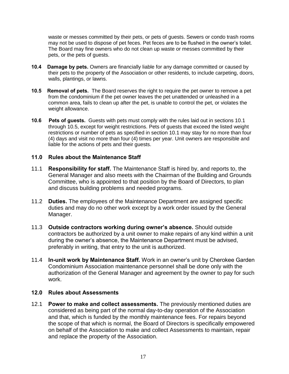waste or messes committed by their pets, or pets of guests. Sewers or condo trash rooms may not be used to dispose of pet feces. Pet feces are to be flushed in the owner's toilet. The Board may fine owners who do not clean up waste or messes committed by their pets, or the pets of guests.

- **10.4 Damage by pets.** Owners are financially liable for any damage committed or caused by their pets to the property of the Association or other residents, to include carpeting, doors, walls, plantings, or lawns.
- **10.5 Removal of pets.** The Board reserves the right to require the pet owner to remove a pet from the condominium if the pet owner leaves the pet unattended or unleashed in a common area, fails to clean up after the pet, is unable to control the pet, or violates the weight allowance.
- **10.6 Pets of guests.** Guests with pets must comply with the rules laid out in sections 10.1 through 10.5, except for weight restrictions. Pets of guests that exceed the listed weight restrictions or number of pets as specified in section 10.1 may stay for no more than four (4) days and visit no more than four (4) times per year. Unit owners are responsible and liable for the actions of pets and their guests.

## **11.0 Rules about the Maintenance Staff**

- 11.1 **Responsibility for staff.** The Maintenance Staff is hired by, and reports to, the General Manager and also meets with the Chairman of the Building and Grounds Committee, who is appointed to that position by the Board of Directors, to plan and discuss building problems and needed programs.
- 11.2 **Duties.** The employees of the Maintenance Department are assigned specific duties and may do no other work except by a work order issued by the General Manager.
- 11.3 **Outside contractors working during owner's absence.** Should outside contractors be authorized by a unit owner to make repairs of any kind within a unit during the owner's absence, the Maintenance Department must be advised, preferably in writing, that entry to the unit is authorized.
- 11.4 **In-unit work by Maintenance Staff.** Work in an owner's unit by Cherokee Garden Condominium Association maintenance personnel shall be done only with the authorization of the General Manager and agreement by the owner to pay for such work.

## **12.0 Rules about Assessments**

12.1 **Power to make and collect assessments.** The previously mentioned duties are considered as being part of the normal day-to-day operation of the Association and that, which is funded by the monthly maintenance fees. For repairs beyond the scope of that which is normal, the Board of Directors is specifically empowered on behalf of the Association to make and collect Assessments to maintain, repair and replace the property of the Association.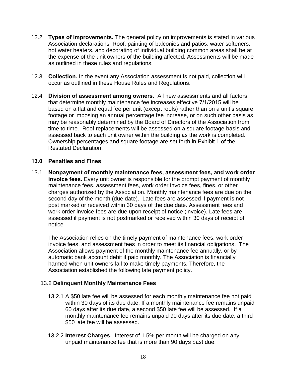- 12.2 **Types of improvements.** The general policy on improvements is stated in various Association declarations. Roof, painting of balconies and patios, water softeners, hot water heaters, and decorating of individual building common areas shall be at the expense of the unit owners of the building affected. Assessments will be made as outlined in these rules and regulations.
- 12.3 **Collection.** In the event any Association assessment is not paid, collection will occur as outlined in these House Rules and Regulations.
- 12.4 **Division of assessment among owners.** All new assessments and all factors that determine monthly maintenance fee increases effective 7/1/2015 will be based on a flat and equal fee per unit (except roofs) rather than on a unit's square footage or imposing an annual percentage fee increase, or on such other basis as may be reasonably determined by the Board of Directors of the Association from time to time. Roof replacements will be assessed on a square footage basis and assessed back to each unit owner within the building as the work is completed. Ownership percentages and square footage are set forth in Exhibit 1 of the Restated Declaration.

## **13.0 Penalties and Fines**

13.1 **Nonpayment of monthly maintenance fees, assessment fees, and work order invoice fees.** Every unit owner is responsible for the prompt payment of monthly maintenance fees, assessment fees, work order invoice fees, fines, or other charges authorized by the Association. Monthly maintenance fees are due on the second day of the month (due date). Late fees are assessed if payment is not post marked or received within 30 days of the due date. Assessment fees and work order invoice fees are due upon receipt of notice (invoice). Late fees are assessed if payment is not postmarked or received within 30 days of receipt of notice

The Association relies on the timely payment of maintenance fees, work order invoice fees, and assessment fees in order to meet its financial obligations. The Association allows payment of the monthly maintenance fee annually, or by automatic bank account debit if paid monthly. The Association is financially harmed when unit owners fail to make timely payments. Therefore, the Association established the following late payment policy.

## 13.2 **Delinquent Monthly Maintenance Fees**

- 13.2.1 A \$50 late fee will be assessed for each monthly maintenance fee not paid within 30 days of its due date. If a monthly maintenance fee remains unpaid 60 days after its due date, a second \$50 late fee will be assessed. If a monthly maintenance fee remains unpaid 90 days after its due date, a third \$50 late fee will be assessed.
- 13.2.2 **Interest Charges**. Interest of 1.5% per month will be charged on any unpaid maintenance fee that is more than 90 days past due.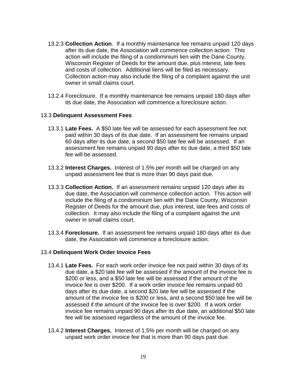- 13.2.3 **Collection Action**. If a monthly maintenance fee remains unpaid 120 days after its due date, the Association will commence collection action. This action will include the filing of a condominium lien with the Dane County, Wisconsin Register of Deeds for the amount due, plus interest, late fees and costs of collection. Additional liens will be filed as necessary. Collection action may also include the filing of a complaint against the unit owner in small claims court.
- 13.2.4 Foreclosure. If a monthly maintenance fee remains unpaid 180 days after its due date, the Association will commence a foreclosure action.

## 13.3 **Delinquent Assessment Fees**

- 13.3.1 **Late Fees.** A \$50 late fee will be assessed for each assessment fee not paid within 30 days of its due date. If an assessment fee remains unpaid 60 days after its due date, a second \$50 late fee will be assessed. If an assessment fee remains unpaid 90 days after its due date, a third \$50 late fee will be assessed.
- 13.3.2 **Interest Charges.** Interest of 1.5% per month will be charged on any unpaid assessment fee that is more than 90 days past due.
- 13.3.3 **Collection Action.** If an assessment remains unpaid 120 days after its due date, the Association will commence collection action. This action will include the filing of a condominium lien with the Dane County, Wisconsin Register of Deeds for the amount due, plus interest, late fees and costs of collection. It may also include the filing of a complaint against the unit owner in small claims court.
- 13.3.4 **Foreclosure.** If an assessment fee remains unpaid 180 days after its due date, the Association will commence a foreclosure action.

#### 13.4 **Delinquent Work Order Invoice Fees**

- 13.4.1 **Late Fees.** For each work order invoice fee not paid within 30 days of its due date, a \$20 late fee will be assessed if the amount of the invoice fee is \$200 or less, and a \$50 late fee will be assessed if the amount of the invoice fee is over \$200. If a work order invoice fee remains unpaid 60 days after its due date, a second \$20 late fee will be assessed if the amount of the invoice fee is \$200 or less, and a second \$50 late fee will be assessed if the amount of the invoice fee is over \$200. If a work order invoice fee remains unpaid 90 days after its due date, an additional \$50 late fee will be assessed regardless of the amount of the invoice fee.
- 13.4.2 **Interest Charges.** Interest of 1.5% per month will be charged on any unpaid work order invoice fee that is more than 90 days past due.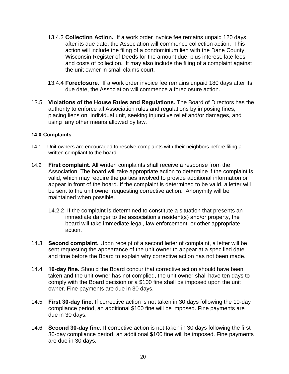- 13.4.3 **Collection Action.** If a work order invoice fee remains unpaid 120 days after its due date, the Association will commence collection action. This action will include the filing of a condominium lien with the Dane County, Wisconsin Register of Deeds for the amount due, plus interest, late fees and costs of collection. It may also include the filing of a complaint against the unit owner in small claims court.
- 13.4.4 **Foreclosure.** If a work order invoice fee remains unpaid 180 days after its due date, the Association will commence a foreclosure action.
- 13.5 **Violations of the House Rules and Regulations.** The Board of Directors has the authority to enforce all Association rules and regulations by imposing fines, placing liens on individual unit, seeking injunctive relief and/or damages, and using any other means allowed by law.

#### **14.0 Complaints**

- 14.1 Unit owners are encouraged to resolve complaints with their neighbors before filing a written compliant to the board.
- 14.2 **First complaint.** All written complaints shall receive a response from the Association. The board will take appropriate action to determine if the complaint is valid, which may require the parties involved to provide additional information or appear in front of the board. If the complaint is determined to be valid, a letter will be sent to the unit owner requesting corrective action. Anonymity will be maintained when possible.
	- 14.2.2 If the complaint is determined to constitute a situation that presents an immediate danger to the association's resident(s) and/or property, the board will take immediate legal, law enforcement, or other appropriate action.
- 14.3 **Second complaint.** Upon receipt of a second letter of complaint, a letter will be sent requesting the appearance of the unit owner to appear at a specified date and time before the Board to explain why corrective action has not been made.
- 14.4 **10-day fine.** Should the Board concur that corrective action should have been taken and the unit owner has not complied, the unit owner shall have ten days to comply with the Board decision or a \$100 fine shall be imposed upon the unit owner. Fine payments are due in 30 days.
- 14.5 **First 30-day fine.** If corrective action is not taken in 30 days following the 10-day compliance period, an additional \$100 fine will be imposed. Fine payments are due in 30 days.
- 14.6 **Second 30-day fine.** If corrective action is not taken in 30 days following the first 30-day compliance period, an additional \$100 fine will be imposed. Fine payments are due in 30 days.